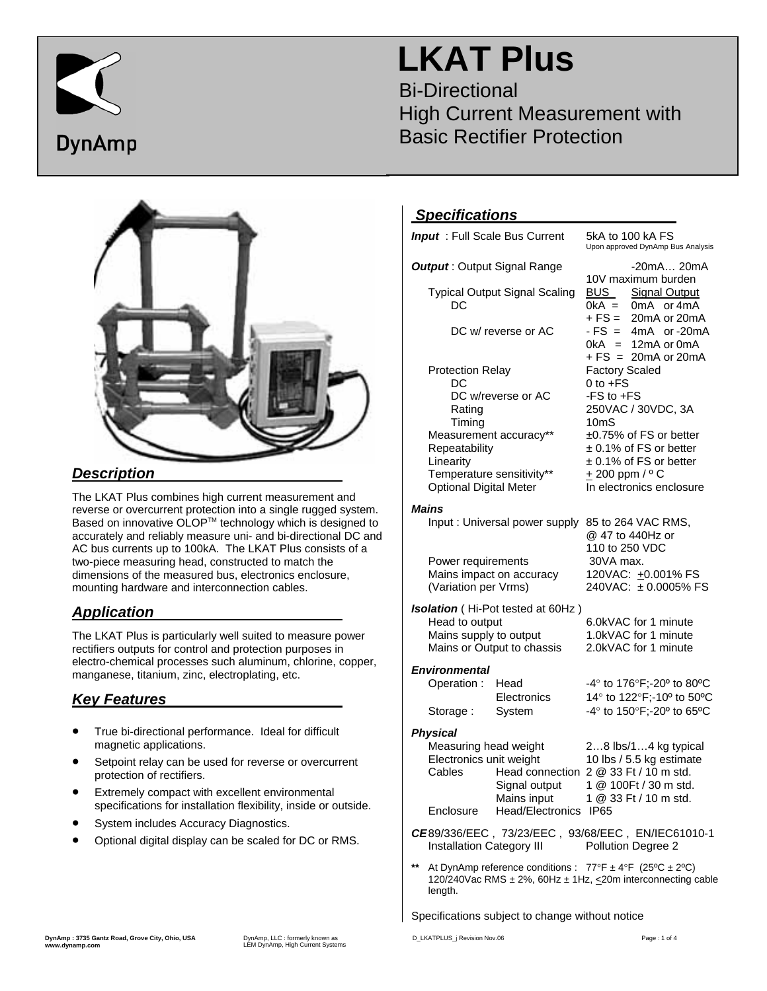

# **LKAT Plus**

Bi-Directional High Current Measurement with Basic Rectifier Protection



#### *Description*

The LKAT Plus combines high current measurement and reverse or overcurrent protection into a single rugged system. Based on innovative OLOP™ technology which is designed to accurately and reliably measure uni- and bi-directional DC and AC bus currents up to 100kA. The LKAT Plus consists of a two-piece measuring head, constructed to match the dimensions of the measured bus, electronics enclosure, mounting hardware and interconnection cables.

### *Application*

The LKAT Plus is particularly well suited to measure power rectifiers outputs for control and protection purposes in electro-chemical processes such aluminum, chlorine, copper, manganese, titanium, zinc, electroplating, etc.

#### *Key Features*

- True bi-directional performance. Ideal for difficult magnetic applications.
- Setpoint relay can be used for reverse or overcurrent protection of rectifiers.
- Extremely compact with excellent environmental specifications for installation flexibility, inside or outside.
- System includes Accuracy Diagnostics.
- Optional digital display can be scaled for DC or RMS.

#### *Specifications*

| <u>орсопютного</u>                                                                                          |                                   |                                                                                |  |
|-------------------------------------------------------------------------------------------------------------|-----------------------------------|--------------------------------------------------------------------------------|--|
| <b>Input</b> : Full Scale Bus Current                                                                       |                                   | 5kA to 100 kA FS<br>Upon approved DynAmp Bus Analysis                          |  |
| <b>Output: Output Signal Range</b>                                                                          |                                   | $-20mA20mA$<br>10V maximum burden                                              |  |
| <b>Typical Output Signal Scaling</b><br>DC                                                                  |                                   | <b>BUS</b><br>Signal Output<br>$0kA =$<br>0mA or 4mA<br>+ FS =<br>20mA or 20mA |  |
| DC w/ reverse or AC                                                                                         |                                   | $-FS =$<br>4mA or-20mA<br>$0kA = 12mA$ or $0mA$<br>$+FS = 20mA$ or 20mA        |  |
| <b>Protection Relay</b>                                                                                     |                                   | <b>Factory Scaled</b>                                                          |  |
| DC                                                                                                          |                                   | $0$ to $+FS$                                                                   |  |
| DC w/reverse or AC                                                                                          |                                   | -FS to +FS                                                                     |  |
| Rating                                                                                                      |                                   | 250VAC / 30VDC, 3A                                                             |  |
| Timing                                                                                                      |                                   | 10mS                                                                           |  |
| Measurement accuracy**                                                                                      |                                   | ±0.75% of FS or better                                                         |  |
| Repeatability                                                                                               |                                   | ± 0.1% of FS or better                                                         |  |
| Linearity                                                                                                   |                                   | ± 0.1% of FS or better                                                         |  |
| Temperature sensitivity**                                                                                   |                                   | + 200 ppm / ° C                                                                |  |
| Optional Digital Meter                                                                                      |                                   | In electronics enclosure                                                       |  |
| <b>Mains</b>                                                                                                |                                   |                                                                                |  |
| Input: Universal power supply                                                                               |                                   | 85 to 264 VAC RMS,<br>@ 47 to 440Hz or                                         |  |
|                                                                                                             |                                   | 110 to 250 VDC                                                                 |  |
| Power requirements                                                                                          |                                   | 30VA max.                                                                      |  |
| Mains impact on accuracy                                                                                    |                                   | 120VAC: +0.001% FS                                                             |  |
| (Variation per Vrms)                                                                                        |                                   | 240VAC: ±0.0005% FS                                                            |  |
|                                                                                                             | Isolation (Hi-Pot tested at 60Hz) |                                                                                |  |
| Head to output                                                                                              |                                   | 6.0kVAC for 1 minute                                                           |  |
| Mains supply to output                                                                                      |                                   | 1.0kVAC for 1 minute                                                           |  |
| Mains or Output to chassis                                                                                  |                                   | 2.0kVAC for 1 minute                                                           |  |
| <b>Environmental</b>                                                                                        |                                   |                                                                                |  |
| Operation:                                                                                                  | Head                              | -4° to 176°F;-20° to 80°C                                                      |  |
|                                                                                                             | Electronics                       | 14° to 122°F;-10° to 50°C                                                      |  |
| Storage:                                                                                                    | System                            | -4° to 150°F;-20° to 65°C                                                      |  |
|                                                                                                             |                                   |                                                                                |  |
| <b>Physical</b>                                                                                             |                                   |                                                                                |  |
| Measuring head weight<br>Electronics unit weight                                                            |                                   | 28 lbs/14 kg typical                                                           |  |
| Cables                                                                                                      |                                   | 10 lbs / 5.5 kg estimate<br>Head connection 2 @ 33 Ft / 10 m std.              |  |
|                                                                                                             | Signal output                     | 1 @ 100Ft / 30 m std.                                                          |  |
|                                                                                                             | Mains input                       | 1 @ 33 Ft / 10 m std.                                                          |  |
| Enclosure                                                                                                   | Head/Electronics IP65             |                                                                                |  |
|                                                                                                             |                                   |                                                                                |  |
| CE89/336/EEC, 73/23/EEC, 93/68/EEC, EN/IEC61010-1<br><b>Installation Category III</b><br>Pollution Degree 2 |                                   |                                                                                |  |
|                                                                                                             |                                   |                                                                                |  |

**\*\*** At DynAmp reference conditions : 77°F ± 4°F (25ºC ± 2ºC) 120/240Vac RMS ± 2%, 60Hz ± 1Hz, <20m interconnecting cable length.

#### Specifications subject to change without notice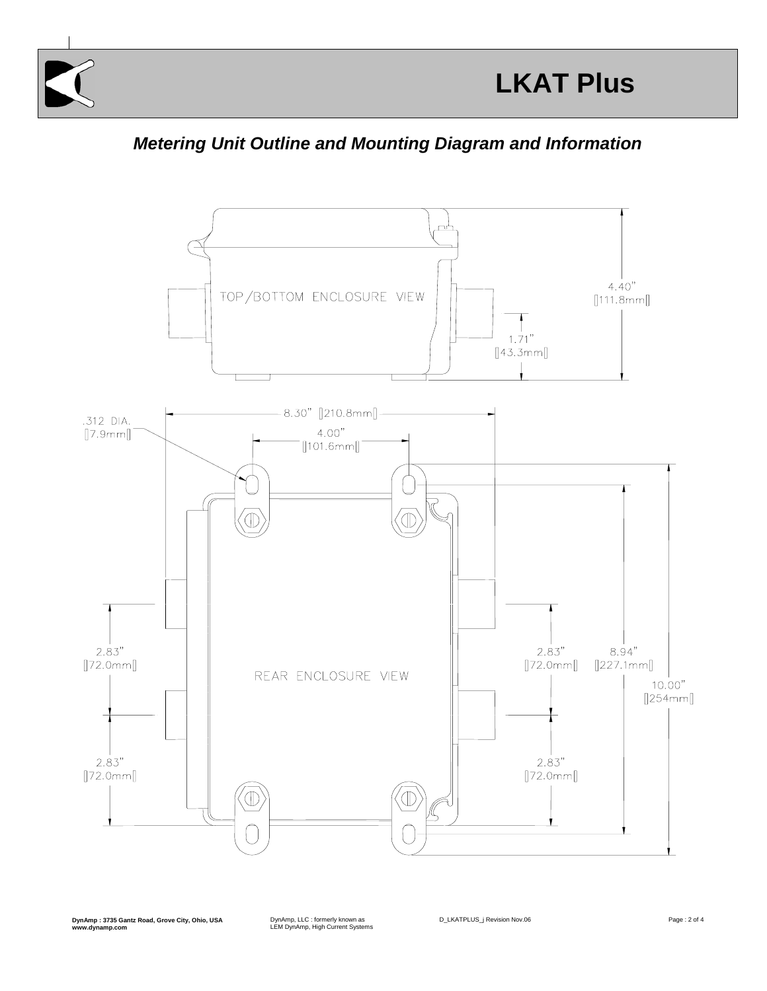





**DynAmp : 3735 Gantz Road, Grove City, Ohio, USA www.dynamp.com**

DynAmp, LLC : formerly known as LEM DynAmp, High Current Systems

D\_LKATPLUS\_j Revision Nov.06 example of the page : 2 of 4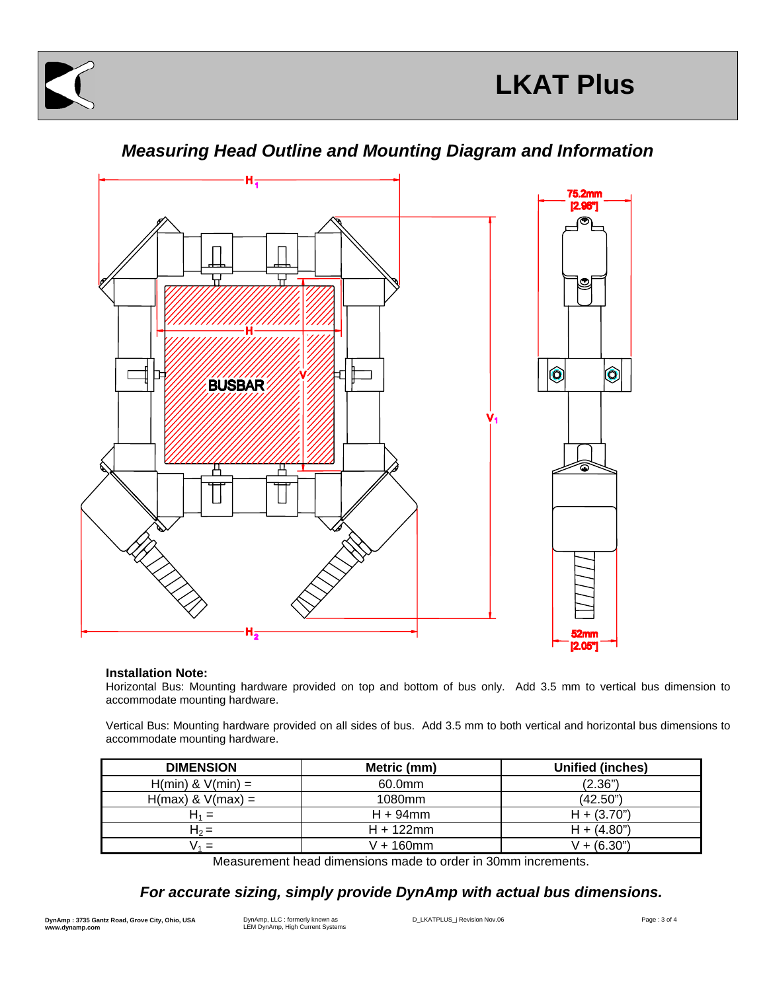



### *Measuring Head Outline and Mounting Diagram and Information*

#### **Installation Note:**

Horizontal Bus: Mounting hardware provided on top and bottom of bus only. Add 3.5 mm to vertical bus dimension to accommodate mounting hardware.

Vertical Bus: Mounting hardware provided on all sides of bus. Add 3.5 mm to both vertical and horizontal bus dimensions to accommodate mounting hardware.

| <b>DIMENSION</b>      | Metric (mm)  | <b>Unified (inches)</b> |
|-----------------------|--------------|-------------------------|
| $H(min)$ & $V(min) =$ | 60.0mm       | (2.36")                 |
| $H(max)$ & $V(max) =$ | 1080mm       | (42.50")                |
| н. =                  | $H + 94$ mm  | $H + (3.70)$            |
| $H_2 =$               | $H + 122$ mm | $H + (4.80n)$           |
| $\sqrt{1} =$          | V + 160mm    | $V + (6.30")$           |

Measurement head dimensions made to order in 30mm increments.

#### *For accurate sizing, simply provide DynAmp with actual bus dimensions.*